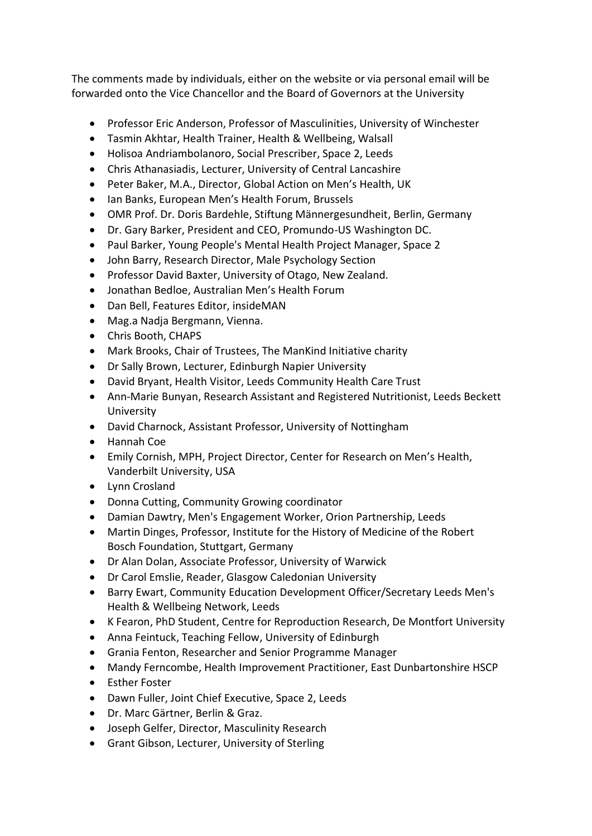The comments made by individuals, either on the website or via personal email will be forwarded onto the Vice Chancellor and the Board of Governors at the University

- Professor Eric Anderson, Professor of Masculinities, University of Winchester
- Tasmin Akhtar, Health Trainer, Health & Wellbeing, Walsall
- Holisoa Andriambolanoro, Social Prescriber, Space 2, Leeds
- Chris Athanasiadis, Lecturer, University of Central Lancashire
- Peter Baker, M.A., Director, Global Action on Men's Health, UK
- Ian Banks, European Men's Health Forum, Brussels
- OMR Prof. Dr. Doris Bardehle, Stiftung Männergesundheit, Berlin, Germany
- Dr. Gary Barker, President and CEO, Promundo-US Washington DC.
- Paul Barker, Young People's Mental Health Project Manager, Space 2
- John Barry, Research Director, Male Psychology Section
- Professor David Baxter, University of Otago, New Zealand.
- Jonathan Bedloe, Australian Men's Health Forum
- Dan Bell, Features Editor, insideMAN
- Mag.a Nadja Bergmann, Vienna.
- Chris Booth, CHAPS
- Mark Brooks, Chair of Trustees, The ManKind Initiative charity
- Dr Sally Brown, Lecturer, Edinburgh Napier University
- David Bryant, Health Visitor, Leeds Community Health Care Trust
- Ann-Marie Bunyan, Research Assistant and Registered Nutritionist, Leeds Beckett University
- David Charnock, Assistant Professor, University of Nottingham
- Hannah Coe
- Emily Cornish, MPH, Project Director, Center for Research on Men's Health, Vanderbilt University, USA
- Lynn Crosland
- Donna Cutting, Community Growing coordinator
- Damian Dawtry, Men's Engagement Worker, Orion Partnership, Leeds
- Martin Dinges, Professor, Institute for the History of Medicine of the Robert Bosch Foundation, Stuttgart, Germany
- Dr Alan Dolan, Associate Professor, University of Warwick
- Dr Carol Emslie, Reader, Glasgow Caledonian University
- Barry Ewart, Community Education Development Officer/Secretary Leeds Men's Health & Wellbeing Network, Leeds
- K Fearon, PhD Student, Centre for Reproduction Research, De Montfort University
- Anna Feintuck, Teaching Fellow, University of Edinburgh
- Grania Fenton, Researcher and Senior Programme Manager
- Mandy Ferncombe, Health Improvement Practitioner, East Dunbartonshire HSCP
- Esther Foster
- Dawn Fuller, Joint Chief Executive, Space 2, Leeds
- Dr. Marc Gärtner, Berlin & Graz.
- Joseph Gelfer, Director, Masculinity Research
- Grant Gibson, Lecturer, University of Sterling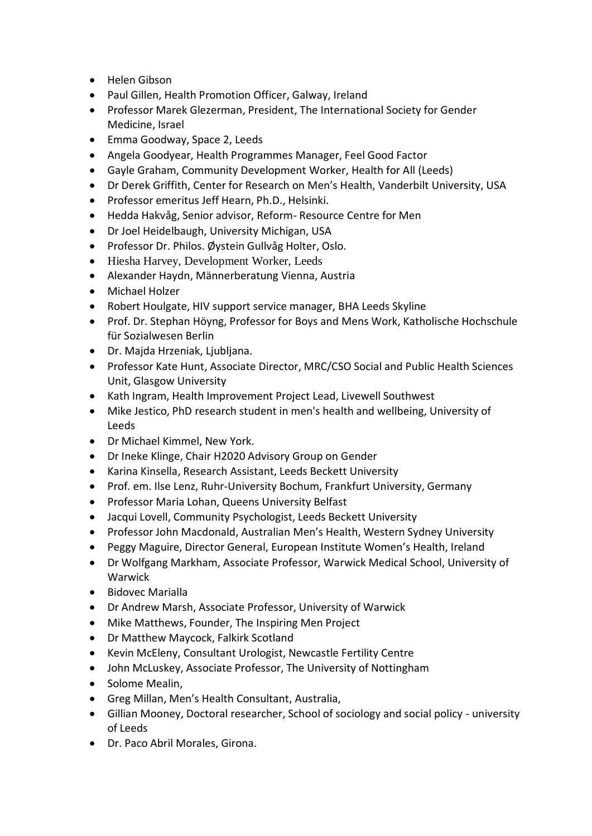- Helen Gibson
- Paul Gillen, Health Promotion Officer, Galway, Ireland
- Professor Marek Glezerman, President, The International Society for Gender Medicine, Israel
- Emma Goodway, Space 2, Leeds
- Angela Goodyear, Health Programmes Manager, Feel Good Factor
- Gayle Graham, Community Development Worker, Health for All (Leeds)
- Dr Derek Griffith, Center for Research on Men's Health, Vanderbilt University, USA
- Professor emeritus Jeff Hearn, Ph.D., Helsinki.
- Hedda Hakvåg, Senior advisor, Reform- Resource Centre for Men
- Dr Joel Heidelbaugh, University Michigan, USA
- Professor Dr. Philos. Øystein Gullvåg Holter, Oslo.
- Hiesha Harvey, Development Worker, Leeds
- Alexander Haydn, Männerberatung Vienna, Austria
- Michael Holzer
- Robert Houlgate, HIV support service manager, BHA Leeds Skyline
- Prof. Dr. Stephan Höyng, Professor for Boys and Mens Work, Katholische Hochschule für Sozialwesen Berlin
- Dr. Majda Hrzeniak, Ljubljana.
- Professor Kate Hunt, Associate Director, MRC/CSO Social and Public Health Sciences Unit, Glasgow University
- Kath Ingram, Health Improvement Project Lead, Livewell Southwest
- Mike Jestico, PhD research student in men's health and wellbeing, University of Leeds
- Dr Michael Kimmel, New York.
- Dr Ineke Klinge, Chair H2020 Advisory Group on Gender
- Karina Kinsella, Research Assistant, Leeds Beckett University
- Prof. em. Ilse Lenz, Ruhr-University Bochum, Frankfurt University, Germany
- Professor Maria Lohan, Queens University Belfast
- Jacqui Lovell, Community Psychologist, Leeds Beckett University
- Professor John Macdonald, Australian Men's Health, Western Sydney University
- Peggy Maguire, Director General, European Institute Women's Health, Ireland
- Dr Wolfgang Markham, Associate Professor, Warwick Medical School, University of Warwick
- Bidovec Marialla
- Dr Andrew Marsh, Associate Professor, University of Warwick
- Mike Matthews, Founder, The Inspiring Men Project
- Dr Matthew Maycock, Falkirk Scotland
- Kevin McEleny, Consultant Urologist, Newcastle Fertility Centre
- John McLuskey, Associate Professor, The University of Nottingham
- Solome Mealin,
- Greg Millan, Men's Health Consultant, Australia,
- Gillian Mooney, Doctoral researcher, School of sociology and social policy university of Leeds
- Dr. Paco Abril Morales, Girona.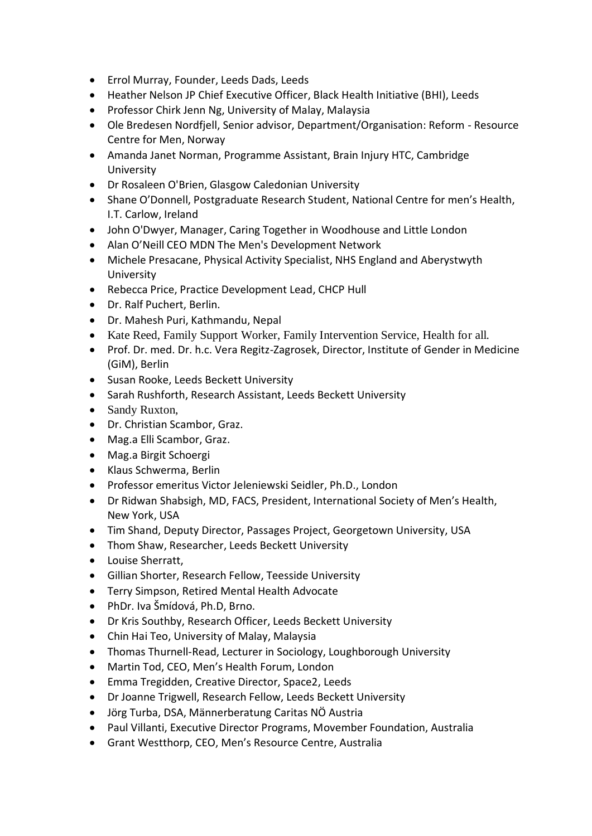- Errol Murray, Founder, Leeds Dads, Leeds
- Heather Nelson JP Chief Executive Officer, Black Health Initiative (BHI), Leeds
- Professor Chirk Jenn Ng, University of Malay, Malaysia
- Ole Bredesen Nordfjell, Senior advisor, Department/Organisation: Reform Resource Centre for Men, Norway
- Amanda Janet Norman, Programme Assistant, Brain Injury HTC, Cambridge University
- Dr Rosaleen O'Brien, Glasgow Caledonian University
- Shane O'Donnell, Postgraduate Research Student, National Centre for men's Health, I.T. Carlow, Ireland
- John O'Dwyer, Manager, Caring Together in Woodhouse and Little London
- Alan O'Neill CEO MDN The Men's Development Network
- Michele Presacane, Physical Activity Specialist, NHS England and Aberystwyth University
- Rebecca Price, Practice Development Lead, CHCP Hull
- Dr. Ralf Puchert, Berlin.
- Dr. Mahesh Puri, Kathmandu, Nepal
- Kate Reed, Family Support Worker, Family Intervention Service, Health for all.
- Prof. Dr. med. Dr. h.c. Vera Regitz-Zagrosek, Director, Institute of Gender in Medicine (GiM), Berlin
- Susan Rooke, Leeds Beckett University
- Sarah Rushforth, Research Assistant, Leeds Beckett University
- Sandy Ruxton,
- Dr. Christian Scambor, Graz.
- Mag.a Elli Scambor, Graz.
- Mag.a Birgit Schoergi
- Klaus Schwerma, Berlin
- Professor emeritus Victor Jeleniewski Seidler, Ph.D., London
- Dr Ridwan Shabsigh, MD, FACS, President, International Society of Men's Health, New York, USA
- Tim Shand, Deputy Director, Passages Project, Georgetown University, USA
- Thom Shaw, Researcher, Leeds Beckett University
- Louise Sherratt,
- Gillian Shorter, Research Fellow, Teesside University
- Terry Simpson, Retired Mental Health Advocate
- PhDr. Iva Šmídová, Ph.D, Brno.
- Dr Kris Southby, Research Officer, Leeds Beckett University
- Chin Hai Teo, University of Malay, Malaysia
- Thomas Thurnell-Read, Lecturer in Sociology, Loughborough University
- Martin Tod, CEO, Men's Health Forum, London
- Emma Tregidden, Creative Director, Space2, Leeds
- Dr Joanne Trigwell, Research Fellow, Leeds Beckett University
- Jörg Turba, DSA, Männerberatung Caritas NÖ Austria
- Paul Villanti, Executive Director Programs, Movember Foundation, Australia
- Grant Westthorp, CEO, Men's Resource Centre, Australia